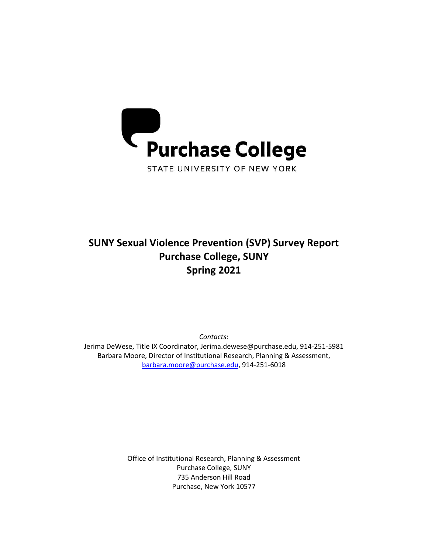

# **SUNY Sexual Violence Prevention (SVP) Survey Report Purchase College, SUNY Spring 2021**

*Contacts*: Jerima DeWese, Title IX Coordinator, [Jerima.dewese@purchase.edu,](mailto:Jerima.dewese@purchase.edu) 914-251-5981 Barbara Moore, Director of Institutional Research, Planning & Assessment, [barbara.moore@purchase.edu,](mailto:barbara.moore@purchase.edu) 914-251-6018

> Office of Institutional Research, Planning & Assessment Purchase College, SUNY 735 Anderson Hill Road Purchase, New York 10577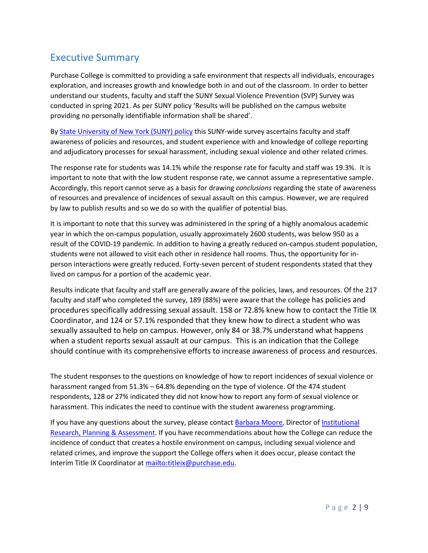## Executive Summary

Purchase College is committed to providing a safe environment that respects all individuals, encourages exploration, and increases growth and knowledge both in and out of the classroom. In order to better understand our students, faculty and staff the SUNY Sexual Violence Prevention (SVP) Survey was conducted in spring 2021. As per SUNY policy 'Results will be published on the campus website providing no personally identifiable information shall be shared'.

B[y State University of New York \(SUNY\)](http://system.suny.edu/sexual-violence-prevention-workgroup/policies/campus-climate/) policy this SUNY-wide survey ascertains faculty and staff awareness of policies and resources, and student experience with and knowledge of college reporting and adjudicatory processes for sexual harassment, including sexual violence and other related crimes.

The response rate for students was 14.1% while the response rate for faculty and staff was 19.3%. It is important to note that with the low student response rate, we cannot assume a representative sample. Accordingly, this report cannot serve as a basis for drawing *conclusions* regarding the state of awareness of resources and prevalence of incidences of sexual assault on this campus. However, we are required by law to publish results and so we do so with the qualifier of potential bias.

It is important to note that this survey was administered in the spring of a highly anomalous academic year in which the on-campus population, usually approximately 2600 students, was below 950 as a result of the COVID-19 pandemic. In addition to having a greatly reduced on-campus student population, students were not allowed to visit each other in residence hall rooms. Thus, the opportunity for inperson interactions were greatly reduced. Forty-seven percent of student respondents stated that they lived on campus for a portion of the academic year.

Results indicate that faculty and staff are generally aware of the policies, laws, and resources. Of the 217 faculty and staff who completed the survey, 189 (88%) were aware that the college has policies and procedures specifically addressing sexual assault. 158 or 72.8% knew how to contact the Title IX Coordinator, and 124 or 57.1% responded that they knew how to direct a student who was sexually assaulted to help on campus. However, only 84 or 38.7% understand what happens when a student reports sexual assault at our campus. This is an indication that the College should continue with its comprehensive efforts to increase awareness of process and resources.

The student responses to the questions on knowledge of how to report incidences of sexual violence or harassment ranged from 51.3% – 64.8% depending on the type of violence. Of the 474 student respondents, 128 or 27% indicated they did not know how to report any form of sexual violence or harassment. This indicates the need to continue with the student awareness programming.

If you have any questions about the survey, please contact [Barbara Moore,](mailto:Barbara.Moore@purchase.edu) Director of Institutional [Research,](https://www.purchase.edu/offices/institutional-research/index.php) Planning & Assessment. If you have recommendations about how the College can reduce the incidence of conduct that creates a hostile environment on campus, including sexual violence and related crimes, and improve the support the College offers when it does occur, please contact the Interim Title IX Coordinator at [mailto:titleix@purchase.edu.](mailto:titleix@purchase.edu)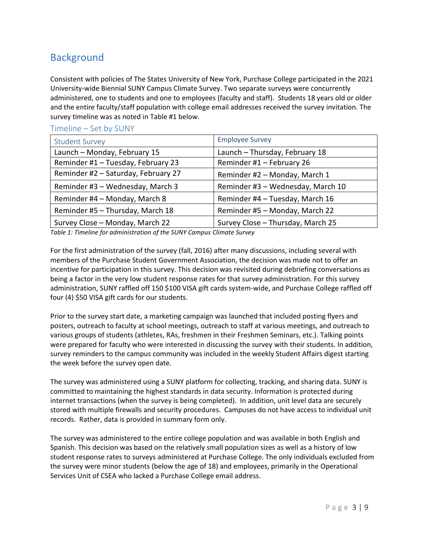## **Background**

Consistent with policies of The States University of New York, Purchase College participated in the 2021 University-wide Biennial SUNY Campus Climate Survey. Two separate surveys were concurrently administered, one to students and one to employees (faculty and staff). Students 18 years old or older and the entire faculty/staff population with college email addresses received the survey invitation. The survey timeline was as noted in Table #1 below.

#### Timeline – Set by SUNY

| <b>Student Survey</b>               | <b>Employee Survey</b>            |
|-------------------------------------|-----------------------------------|
| Launch - Monday, February 15        | Launch - Thursday, February 18    |
| Reminder #1 - Tuesday, February 23  | Reminder #1 - February 26         |
| Reminder #2 - Saturday, February 27 | Reminder #2 - Monday, March 1     |
| Reminder #3 - Wednesday, March 3    | Reminder #3 - Wednesday, March 10 |
| Reminder #4 - Monday, March 8       | Reminder #4 - Tuesday, March 16   |
| Reminder #5 - Thursday, March 18    | Reminder #5 - Monday, March 22    |
| Survey Close - Monday, March 22     | Survey Close - Thursday, March 25 |

*Table 1: Timeline for administration of the SUNY Campus Climate Survey*

For the first administration of the survey (fall, 2016) after many discussions, including several with members of the Purchase Student Government Association, the decision was made not to offer an incentive for participation in this survey. This decision was revisited during debriefing conversations as being a factor in the very low student response rates for that survey administration. For this survey administration, SUNY raffled off 150 \$100 VISA gift cards system-wide, and Purchase College raffled off four (4) \$50 VISA gift cards for our students.

Prior to the survey start date, a marketing campaign was launched that included posting flyers and posters, outreach to faculty at school meetings, outreach to staff at various meetings, and outreach to various groups of students (athletes, RAs, freshmen in their Freshmen Seminars, etc.). Talking points were prepared for faculty who were interested in discussing the survey with their students. In addition, survey reminders to the campus community was included in the weekly Student Affairs digest starting the week before the survey open date.

The survey was administered using a SUNY platform for collecting, tracking, and sharing data. SUNY is committed to maintaining the highest standards in data security. Information is protected during internet transactions (when the survey is being completed). In addition, unit level data are securely stored with multiple firewalls and security procedures. Campuses do not have access to individual unit records. Rather, data is provided in summary form only.

The survey was administered to the entire college population and was available in both English and Spanish. This decision was based on the relatively small population sizes as well as a history of low student response rates to surveys administered at Purchase College. The only individuals excluded from the survey were minor students (below the age of 18) and employees, primarily in the Operational Services Unit of CSEA who lacked a Purchase College email address.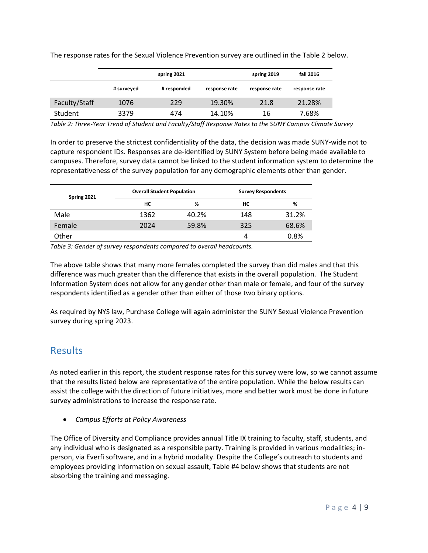|               | spring 2021 |             | spring 2019   | fall 2016     |               |
|---------------|-------------|-------------|---------------|---------------|---------------|
|               | # surveyed  | # responded | response rate | response rate | response rate |
| Faculty/Staff | 1076        | 229         | 19.30%        | 21.8          | 21.28%        |
| Student       | 3379        | 474         | 14.10%        | 16            | 7.68%         |

The response rates for the Sexual Violence Prevention survey are outlined in the Table 2 below.

*Table 2: Three-Year Trend of Student and Faculty/Staff Response Rates to the SUNY Campus Climate Survey*

In order to preserve the strictest confidentiality of the data, the decision was made SUNY-wide not to capture respondent IDs. Responses are de-identified by SUNY System before being made available to campuses. Therefore, survey data cannot be linked to the student information system to determine the representativeness of the survey population for any demographic elements other than gender.

| Spring 2021 |      | <b>Overall Student Population</b> |     | <b>Survey Respondents</b> |  |
|-------------|------|-----------------------------------|-----|---------------------------|--|
|             | HС   | %                                 | HС  | %                         |  |
| Male        | 1362 | 40.2%                             | 148 | 31.2%                     |  |
| Female      | 2024 | 59.8%                             | 325 | 68.6%                     |  |
| Other       |      |                                   | 4   | 0.8%                      |  |

*Table 3: Gender of survey respondents compared to overall headcounts.*

The above table shows that many more females completed the survey than did males and that this difference was much greater than the difference that exists in the overall population. The Student Information System does not allow for any gender other than male or female, and four of the survey respondents identified as a gender other than either of those two binary options.

As required by NYS law, Purchase College will again administer the SUNY Sexual Violence Prevention survey during spring 2023.

### Results

As noted earlier in this report, the student response rates for this survey were low, so we cannot assume that the results listed below are representative of the entire population. While the below results can assist the college with the direction of future initiatives, more and better work must be done in future survey administrations to increase the response rate.

• *Campus Efforts at Policy Awareness*

The Office of Diversity and Compliance provides annual Title IX training to faculty, staff, students, and any individual who is designated as a responsible party. Training is provided in various modalities; inperson, via Everfi software, and in a hybrid modality. Despite the College's outreach to students and employees providing information on sexual assault, Table #4 below shows that students are not absorbing the training and messaging.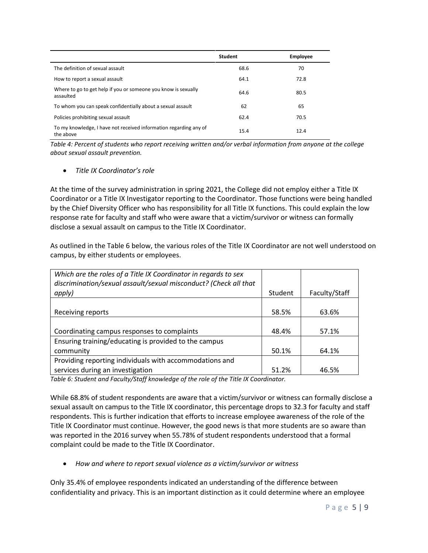|                                                                                | <b>Student</b> | <b>Employee</b> |
|--------------------------------------------------------------------------------|----------------|-----------------|
| The definition of sexual assault                                               | 68.6           | 70              |
| How to report a sexual assault                                                 | 64.1           | 72.8            |
| Where to go to get help if you or someone you know is sexually<br>assaulted    | 64.6           | 80.5            |
| To whom you can speak confidentially about a sexual assault                    | 62             | 65              |
| Policies prohibiting sexual assault                                            | 62.4           | 70.5            |
| To my knowledge, I have not received information regarding any of<br>the above | 15.4           | 12.4            |

*Table 4: Percent of students who report receiving written and/or verbal information from anyone at the college about sexual assault prevention.*

#### • *Title IX Coordinator's role*

At the time of the survey administration in spring 2021, the College did not employ either a Title IX Coordinator or a Title IX Investigator reporting to the Coordinator. Those functions were being handled by the Chief Diversity Officer who has responsibility for all Title IX functions. This could explain the low response rate for faculty and staff who were aware that a victim/survivor or witness can formally disclose a sexual assault on campus to the Title IX Coordinator.

As outlined in the Table 6 below, the various roles of the Title IX Coordinator are not well understood on campus, by either students or employees.

| Which are the roles of a Title IX Coordinator in regards to sex<br>discrimination/sexual assault/sexual misconduct? (Check all that |         |               |
|-------------------------------------------------------------------------------------------------------------------------------------|---------|---------------|
| apply)                                                                                                                              | Student | Faculty/Staff |
|                                                                                                                                     |         |               |
| Receiving reports                                                                                                                   | 58.5%   | 63.6%         |
|                                                                                                                                     |         |               |
| Coordinating campus responses to complaints                                                                                         | 48.4%   | 57.1%         |
| Ensuring training/educating is provided to the campus                                                                               |         |               |
| community                                                                                                                           | 50.1%   | 64.1%         |
| Providing reporting individuals with accommodations and                                                                             |         |               |
| services during an investigation                                                                                                    | 51.2%   | 46.5%         |

*Table 6: Student and Faculty/Staff knowledge of the role of the Title IX Coordinator.*

While 68.8% of student respondents are aware that a victim/survivor or witness can formally disclose a sexual assault on campus to the Title IX coordinator, this percentage drops to 32.3 for faculty and staff respondents. This is further indication that efforts to increase employee awareness of the role of the Title IX Coordinator must continue. However, the good news is that more students are so aware than was reported in the 2016 survey when 55.78% of student respondents understood that a formal complaint could be made to the Title IX Coordinator.

• *How and where to report sexual violence as a victim/survivor or witness*

Only 35.4% of employee respondents indicated an understanding of the difference between confidentiality and privacy. This is an important distinction as it could determine where an employee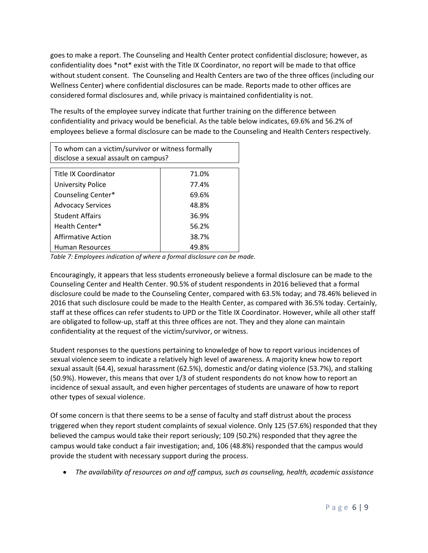goes to make a report. The Counseling and Health Center protect confidential disclosure; however, as confidentiality does \*not\* exist with the Title IX Coordinator, no report will be made to that office without student consent. The Counseling and Health Centers are two of the three offices (including our Wellness Center) where confidential disclosures can be made. Reports made to other offices are considered formal disclosures and, while privacy is maintained confidentiality is not.

The results of the employee survey indicate that further training on the difference between confidentiality and privacy would be beneficial. As the table below indicates, 69.6% and 56.2% of employees believe a formal disclosure can be made to the Counseling and Health Centers respectively.

| To whom can a victim/survivor or witness formally |       |  |
|---------------------------------------------------|-------|--|
| disclose a sexual assault on campus?              |       |  |
|                                                   |       |  |
| Title IX Coordinator                              | 71.0% |  |
| <b>University Police</b>                          | 77.4% |  |
| Counseling Center*                                | 69.6% |  |
| <b>Advocacy Services</b>                          | 48.8% |  |
| <b>Student Affairs</b>                            | 36.9% |  |
| Health Center*                                    | 56.2% |  |
| <b>Affirmative Action</b>                         | 38.7% |  |
| <b>Human Resources</b>                            | 49.8% |  |

*Table 7: Employees indication of where a formal disclosure can be made.*

Encouragingly, it appears that less students erroneously believe a formal disclosure can be made to the Counseling Center and Health Center. 90.5% of student respondents in 2016 believed that a formal disclosure could be made to the Counseling Center, compared with 63.5% today; and 78.46% believed in 2016 that such disclosure could be made to the Health Center, as compared with 36.5% today. Certainly, staff at these offices can refer students to UPD or the Title IX Coordinator. However, while all other staff are obligated to follow-up, staff at this three offices are not. They and they alone can maintain confidentiality at the request of the victim/survivor, or witness.

Student responses to the questions pertaining to knowledge of how to report various incidences of sexual violence seem to indicate a relatively high level of awareness. A majority knew how to report sexual assault (64.4), sexual harassment (62.5%), domestic and/or dating violence (53.7%), and stalking (50.9%). However, this means that over 1/3 of student respondents do not know how to report an incidence of sexual assault, and even higher percentages of students are unaware of how to report other types of sexual violence.

Of some concern is that there seems to be a sense of faculty and staff distrust about the process triggered when they report student complaints of sexual violence. Only 125 (57.6%) responded that they believed the campus would take their report seriously; 109 (50.2%) responded that they agree the campus would take conduct a fair investigation; and, 106 (48.8%) responded that the campus would provide the student with necessary support during the process.

• *The availability of resources on and off campus, such as counseling, health, academic assistance*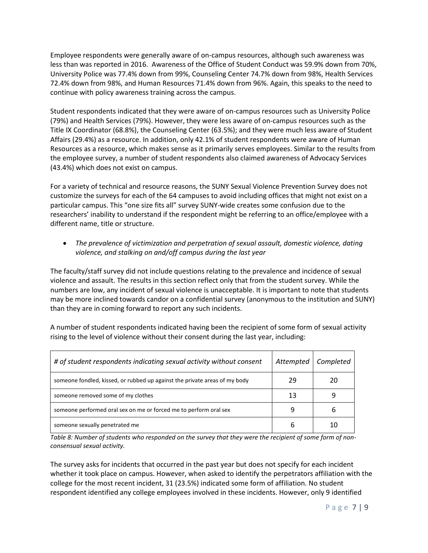Employee respondents were generally aware of on-campus resources, although such awareness was less than was reported in 2016. Awareness of the Office of Student Conduct was 59.9% down from 70%, University Police was 77.4% down from 99%, Counseling Center 74.7% down from 98%, Health Services 72.4% down from 98%, and Human Resources 71.4% down from 96%. Again, this speaks to the need to continue with policy awareness training across the campus.

Student respondents indicated that they were aware of on-campus resources such as University Police (79%) and Health Services (79%). However, they were less aware of on-campus resources such as the Title IX Coordinator (68.8%), the Counseling Center (63.5%); and they were much less aware of Student Affairs (29.4%) as a resource. In addition, only 42.1% of student respondents were aware of Human Resources as a resource, which makes sense as it primarily serves employees. Similar to the results from the employee survey, a number of student respondents also claimed awareness of Advocacy Services (43.4%) which does not exist on campus.

For a variety of technical and resource reasons, the SUNY Sexual Violence Prevention Survey does not customize the surveys for each of the 64 campuses to avoid including offices that might not exist on a particular campus. This "one size fits all" survey SUNY-wide creates some confusion due to the researchers' inability to understand if the respondent might be referring to an office/employee with a different name, title or structure.

• *The prevalence of victimization and perpetration of sexual assault, domestic violence, dating violence, and stalking on and/off campus during the last year*

The faculty/staff survey did not include questions relating to the prevalence and incidence of sexual violence and assault. The results in this section reflect only that from the student survey. While the numbers are low, any incident of sexual violence is unacceptable. It is important to note that students may be more inclined towards candor on a confidential survey (anonymous to the institution and SUNY) than they are in coming forward to report any such incidents.

A number of student respondents indicated having been the recipient of some form of sexual activity rising to the level of violence without their consent during the last year, including:

| # of student respondents indicating sexual activity without consent        | Attempted | Completed |
|----------------------------------------------------------------------------|-----------|-----------|
| someone fondled, kissed, or rubbed up against the private areas of my body | 29        | 20        |
| someone removed some of my clothes                                         | 13        |           |
| someone performed oral sex on me or forced me to perform oral sex          |           |           |
| someone sexually penetrated me                                             |           |           |

*Table 8: Number of students who responded on the survey that they were the recipient of some form of nonconsensual sexual activity.*

The survey asks for incidents that occurred in the past year but does not specify for each incident whether it took place on campus. However, when asked to identify the perpetrators affiliation with the college for the most recent incident, 31 (23.5%) indicated some form of affiliation. No student respondent identified any college employees involved in these incidents. However, only 9 identified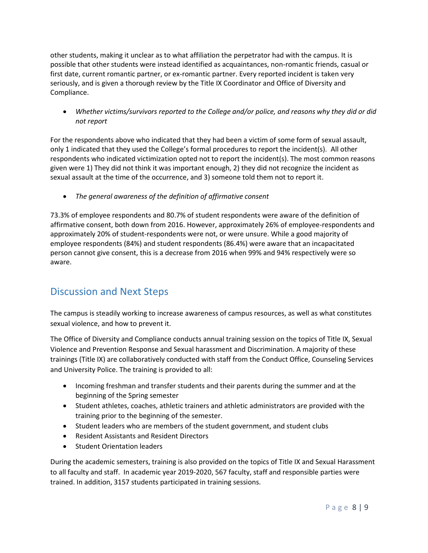other students, making it unclear as to what affiliation the perpetrator had with the campus. It is possible that other students were instead identified as acquaintances, non-romantic friends, casual or first date, current romantic partner, or ex-romantic partner. Every reported incident is taken very seriously, and is given a thorough review by the Title IX Coordinator and Office of Diversity and Compliance.

• *Whether victims/survivors reported to the College and/or police, and reasons why they did or did not report*

For the respondents above who indicated that they had been a victim of some form of sexual assault, only 1 indicated that they used the College's formal procedures to report the incident(s). All other respondents who indicated victimization opted not to report the incident(s). The most common reasons given were 1) They did not think it was important enough, 2) they did not recognize the incident as sexual assault at the time of the occurrence, and 3) someone told them not to report it.

• *The general awareness of the definition of affirmative consent*

73.3% of employee respondents and 80.7% of student respondents were aware of the definition of affirmative consent, both down from 2016. However, approximately 26% of employee-respondents and approximately 20% of student-respondents were not, or were unsure. While a good majority of employee respondents (84%) and student respondents (86.4%) were aware that an incapacitated person cannot give consent, this is a decrease from 2016 when 99% and 94% respectively were so aware.

### Discussion and Next Steps

The campus is steadily working to increase awareness of campus resources, as well as what constitutes sexual violence, and how to prevent it.

The Office of Diversity and Compliance conducts annual training session on the topics of Title IX, Sexual Violence and Prevention Response and Sexual harassment and Discrimination. A majority of these trainings (Title IX) are collaboratively conducted with staff from the Conduct Office, Counseling Services and University Police. The training is provided to all:

- Incoming freshman and transfer students and their parents during the summer and at the beginning of the Spring semester
- Student athletes, coaches, athletic trainers and athletic administrators are provided with the training prior to the beginning of the semester.
- Student leaders who are members of the student government, and student clubs
- Resident Assistants and Resident Directors
- Student Orientation leaders

During the academic semesters, training is also provided on the topics of Title IX and Sexual Harassment to all faculty and staff. In academic year 2019-2020, 567 faculty, staff and responsible parties were trained. In addition, 3157 students participated in training sessions.